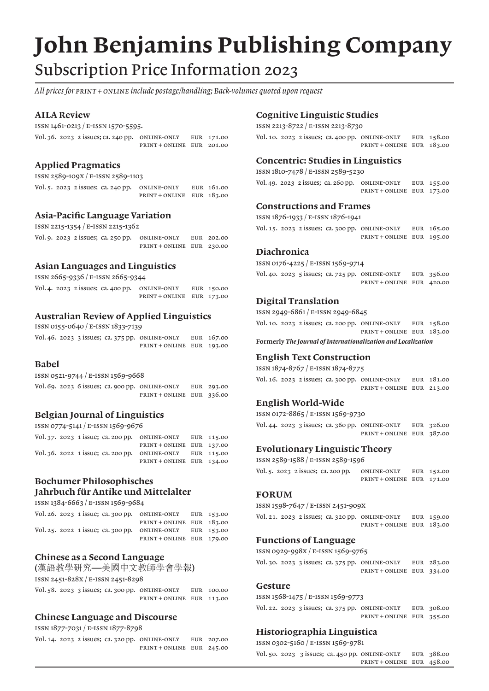# John Benjamins Publishing Company Subscription Price Information 2023

*All prices for print + online include postage/handling; Back-volumes quoted upon request*

## AILA Review

ISSN 1461-0213 / E-ISSN 1570-5595.

Vol. 36. 2023 2 issues; ca. 240 pp. Online-only eur 171.00 print + online eur 201.00

# Applied Pragmatics

ISSN 2589-109X / E-ISSN 2589-1103

|  |  | Vol. 5. 2023 2 issues; ca. 240 pp. ONLINE-ONLY | EUR 161.00 |
|--|--|------------------------------------------------|------------|
|  |  | PRINT + ONLINE EUR 183.00                      |            |

## Asia-Pacific Language Variation

ISSN 2215-1354 / E-ISSN 2215-1362

|  |  | Vol. 9. $2023$ 2 issues; ca. 250 pp. ONLINE-ONLY | EUR 202.00 |
|--|--|--------------------------------------------------|------------|
|  |  | PRINT+ONLINE EUR 230.00                          |            |

# Asian Languages and Linguistics

ISSN 2665-9336 / E-ISSN 2665-9344

|  |  | Vol. 4. 2023 2 issues; ca. 400 pp. ONLINE-ONLY | EUR 150.00 |
|--|--|------------------------------------------------|------------|
|  |  | PRINT + ONLINE EUR 173.00                      |            |

# Australian Review of Applied Linguistics

ISSN 0155-0640 / E-ISSN 1833-7139

|  |  | Vol. 46. 2023 3 issues; ca. 375 pp. ONLINE-ONLY | EUR 167.00 |
|--|--|-------------------------------------------------|------------|
|  |  | PRINT+ONLINE EUR 193.00                         |            |

#### Babel

ISSN 0521-9744 / E-ISSN 1569-9668

|  |  | Vol. 69. $2023$ 6 issues; ca. 900 pp. ONLINE-ONLY | EUR 293.00 |
|--|--|---------------------------------------------------|------------|
|  |  | $PRINT + ONLINE$ EUR 336.00                       |            |

## Belgian Journal of Linguistics

ISSN 0774-5141 / E-ISSN 1569-9676

|  |  | Vol. 37. 2023 1 issue; ca. 200 pp. ONLINE-ONLY EUR 115.00 |  |
|--|--|-----------------------------------------------------------|--|
|  |  | PRINT+ONLINE EUR 137.00                                   |  |
|  |  | Vol. 36. 2022 1 issue; ca. 200 pp. ONLINE-ONLY EUR 115.00 |  |
|  |  | PRINT+ONLINE EUR 134.00                                   |  |

## Bochumer Philosophisches Jahrbuch für Antike und Mittelalter

ISSN 1384-6663 / E-ISSN 1569-9684

|  |  | Vol. 26. 2023 1 issue; ca. 300 pp. ONLINE-ONLY EUR 153.00 |  |
|--|--|-----------------------------------------------------------|--|
|  |  | $PRINT + ONLINE$ EUR 183.00                               |  |
|  |  | Vol. 25. 2022 1 issue; ca. 300 pp. ONLINE-ONLY EUR 153.00 |  |
|  |  | PRINT+ONLINE EUR 179.00                                   |  |

## Chinese as a Second Language

(漢語教學研究—美國中文教師學會學報) issn 2451-828X / e-issn 2451-8298

Vol. 58. 2023 3 issues; ca. 300 pp. Online-only eur 100.00 print + online eur 113.00

## Chinese Language and Discourse

ISSN 1877-7031 / E-ISSN 1877-8798

|  |  | Vol. 14. 2023 2 issues; ca. 320 pp. ONLINE-ONLY | EUR 207.00 |
|--|--|-------------------------------------------------|------------|
|  |  | PRINT+ONLINE EUR 245.00                         |            |

#### Cognitive Linguistic Studies

ISSN 2213-8722 / E-ISSN 2213-8730

Vol. 10. 2023 2 issues; ca. 400 pp. ONLINE-ONLY EUR 158.00 print + online eur 183.00

## Concentric: Studies in Linguistics

| ISSN 1810-7478 / E-ISSN 2589-5230                            |                           |  |  |  |  |
|--------------------------------------------------------------|---------------------------|--|--|--|--|
| Vol. 49. 2023 2 issues; ca. 260 pp. ONLINE-ONLY EUR $155.00$ |                           |  |  |  |  |
|                                                              | PRINT + ONLINE EUR 173.00 |  |  |  |  |

#### Constructions and Frames

ISSN 1876-1933 / E-ISSN 1876-1941

|  |  | Vol. $15.2023$ 2 issues; ca. 300 pp. ONLINE-ONLY | EUR 165.00 |
|--|--|--------------------------------------------------|------------|
|  |  | PRINT+ONLINE EUR 195.00                          |            |

## Diachronica

ISSN 0176-4225 / E-ISSN 1569-9714

Vol. 40. 2023 5 issues; ca. 725 pp. Online-only eur 356.00 print + online eur 420.00

## Digital Translation

issn 2949-6861 / e-issn 2949-6845

Vol. 10. 2023 2 issues; ca. 200 pp. Online-only eur 158.00 print + online eur 183.00

Formerly *The Journal of Internationalization and Localization*

#### English Text Construction

ISSN 1874-8767 / E-ISSN 1874-8775

Vol. 16. 2023 2 issues; ca. 300 pp. Online-only eur 181.00 print + online eur 213.00

#### English World-Wide

ISSN 0172-8865 / E-ISSN 1569-9730

Vol. 44. 2023 3 issues; ca. 360 pp. Online-only eur 326.00 print + online eur 387.00

#### Evolutionary Linguistic Theory

ISSN 2589-1588 / E-ISSN 2589-1596

|  | Vol. 5. 2023 2 issues; ca. 200 pp. | ONLINE-ONLY             | EUR 152.00 |
|--|------------------------------------|-------------------------|------------|
|  |                                    | PRINT+ONLINE EUR 171.00 |            |

#### FORUM

issn 1598-7647 / e-issn 2451-909X

|  |  | Vol. 21. 2023 2 issues; ca. 320 pp. ONLINE-ONLY | EUR 159.00 |
|--|--|-------------------------------------------------|------------|
|  |  | PRINT+ONLINE EUR 183.00                         |            |

#### Functions of Language

ISSN 0929-998X / E-ISSN 1569-9765

Vol. 30. 2023 3 issues; ca. 375 pp. Online-only eur 283.00 print + online eur 334.00

#### Gesture

ISSN 1568-1475 / E-ISSN 1569-9773

Vol. 22. 2023 3 issues; ca. 375 pp. Online-only eur 308.00 print + online eur 355.00

## Historiographia Linguistica

ISSN 0302-5160 / E-ISSN 1569-9781

Vol. 50. 2023 3 issues; ca. 450 pp. Online-only eur 388.00 print + online eur 458.00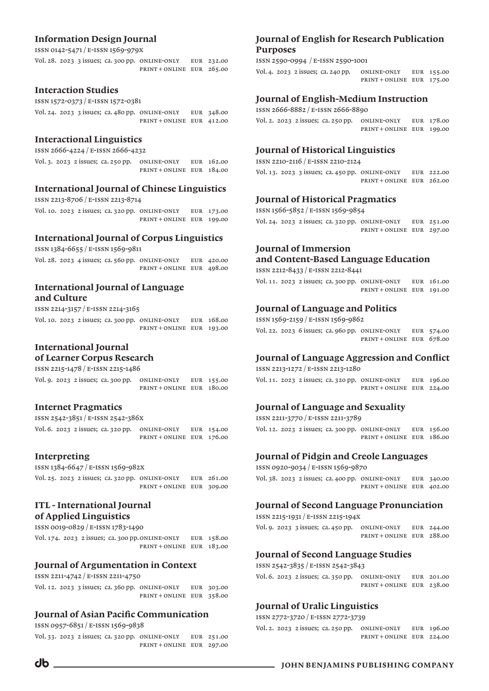# Information Design Journal

ISSN 0142-5471 / E-ISSN 1569-979X

Vol. 28. 2023 3 issues; ca. 300 pp. Online-only eur 232.00 print + online eur 265.00

## Interaction Studies

ISSN 1572-0373 / E-ISSN 1572-0381

|  |  | Vol. 24. 2023 3 issues; ca. 480 pp. ONLINE-ONLY | EUR 348.00 |
|--|--|-------------------------------------------------|------------|
|  |  | PRINT+ONLINE EUR 412.00                         |            |

## Interactional Linguistics

ISSN 2666-4224 / E-ISSN 2666-4232

Vol. 3. 2023 2 issues; ca. 250 pp. Online-only eur 162.00 print + online eur 184.00

# International Journal of Chinese Linguistics

ISSN 2213-8706 / E-ISSN 2213-8714

Vol. 10. 2023 2 issues; ca. 320 pp. Online-only eur 173.00 print + online eur 199.00

# International Journal of Corpus Linguistics

ISSN 1384-6655 / E-ISSN 1569-9811

|  |  | Vol. 28. 2023 4 issues; ca. 560 pp. ONLINE-ONLY | EUR 420.00 |
|--|--|-------------------------------------------------|------------|
|  |  | $PRINT + ONLINE$ EUR 498.00                     |            |

# International Journal of Language and Culture

ISSN 2214-3157 / E-ISSN 2214-3165

|  |  | Vol. 10. 2023 2 issues; ca. 300 pp. ONLINE-ONLY | EUR 168.00 |
|--|--|-------------------------------------------------|------------|
|  |  | PRINT + ONLINE EUR 193.00                       |            |

## International Journal of Learner Corpus Research

ISSN 2215-1478 / E-ISSN 2215-1486

|  |  | Vol. 9. $2023$ 2 issues; ca. 300 pp. ONLINE-ONLY | EUR 155.00 |
|--|--|--------------------------------------------------|------------|
|  |  | PRINT+ONLINE EUR 180.00                          |            |

## Internet Pragmatics

ISSN 2542-3851 / E-ISSN 2542-386X

Vol. 6. 2023 2 issues; ca. 320 pp. Online-only eur 154.00 print + online eur 176.00

## Interpreting

ISSN 1384-6647 / E-ISSN 1569-982X

|  |  | Vol. 25. 2023 2 issues; ca. 320 pp. ONLINE-ONLY | EUR 261.00 |
|--|--|-------------------------------------------------|------------|
|  |  | PRINT+ONLINE EUR 309.00                         |            |

## ITL - International Journal of Applied Linguistics

ISSN 0019-0829 / E-ISSN 1783-1490

Vol. 174. 2023 2 issues; ca. 300 pp.Online-only eur 158.00 print + online eur 183.00

## Journal of Argumentation in Context

ISSN 2211-4742 / E-ISSN 2211-4750

Vol. 12. 2023 3 issues; ca. 360 pp. Online-only eur 303.00 print + online eur 358.00

# Journal of Asian Pacific Communication

ISSN 0957-6851 / E-ISSN 1569-9838

Vol. 33. 2023 2 issues; ca. 320 pp. Online-only eur 251.00 print + online eur 297.00

# Journal of English for Research Publication Purposes

ISSN 2590-0994 / E-ISSN 2590-1001 Vol. 4. 2023 2 issues; ca. 240 pp. Online-only eur 155.00 print + online eur 175.00

# Journal of English-Medium Instruction

issn 2666-8882 / e-issn 2666-8890 Vol. 2. 2023 2 issues; ca. 250 pp. Online-only eur 178.00 print + online eur 199.00

# Journal of Historical Linguistics

ISSN 2210-2116 / E-ISSN 2210-2124 Vol. 13. 2023 3 issues; ca. 450 pp. Online-only eur 222.00 print + online eur 262.00

# Journal of Historical Pragmatics

ISSN 1566-5852 / E-ISSN 1569-9854 Vol. 24. 2023 2 issues; ca. 320 pp. Online-only eur 251.00 print + online eur 297.00

# Journal of Immersion

and Content-Based Language Education

ISSN 2212-8433 / E-ISSN 2212-8441

Vol. 11. 2023 2 issues; ca. 300 pp. Online-only eur 161.00 print + online eur 191.00

# Journal of Language and Politics

ISSN 1569-2159 / E-ISSN 1569-9862 Vol. 22. 2023 6 issues; ca. 960 pp. Online-only eur 574.00 print + online eur 678.00

# Journal of Language Aggression and Conflict

ISSN 2213-1272 / E-ISSN 2213-1280

Vol. 11. 2023 2 issues; ca. 320 pp. Online-only eur 196.00 print + online eur 224.00

## Journal of Language and Sexuality

ISSN 2211-3770 / E-ISSN 2211-3789

Vol. 12. 2023 2 issues; ca. 300 pp. Online-only eur 156.00 print + online eur 186.00

# Journal of Pidgin and Creole Languages

ISSN 0920-9034 / E-ISSN 1569-9870 Vol. 38. 2023 2 issues; ca. 400 pp. Online-only eur 340.00 print + online eur 402.00

## Journal of Second Language Pronunciation

ISSN 2215-1931 / E-ISSN 2215-194X

Vol. 9. 2023 3 issues; ca. 450 pp. Online-only eur 244.00 print + online eur 288.00

# Journal of Second Language Studies

ISSN 2542-3835 / E-ISSN 2542-3843

Vol. 6. 2023 2 issues; ca. 350 pp. Online-only eur 201.00 print + online eur 238.00

## Journal of Uralic Linguistics

#### ISSN 2772-3720 / E-ISSN 2772-3739

Vol. 2. 2023 2 issues; ca. 250 pp. Online-only eur 196.00 print + online eur 224.00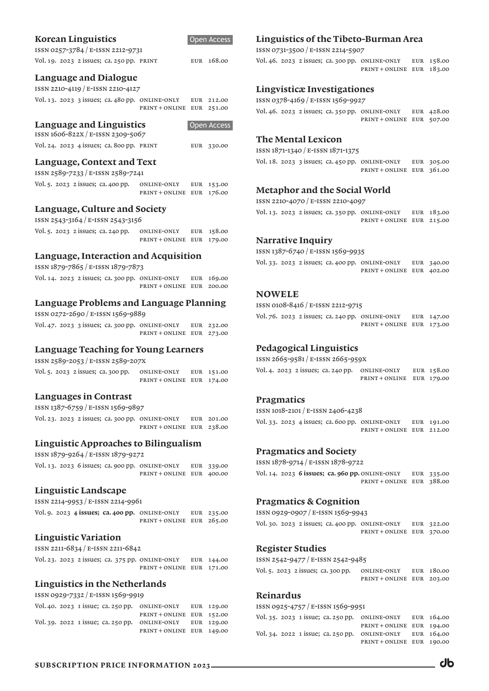## Korean Linguistics

| ISSN 0257-3784 / E-ISSN 2212-9731         |  |            |
|-------------------------------------------|--|------------|
| Vol. 19. 2023 2 issues; ca. 250 pp. PRINT |  | EUR 168.00 |

## Language and Dialogue

ISSN 2210-4119 / E-ISSN 2210-4127

|  |  | Vol. 13. 2023 3 issues; ca. 480 pp. ONLINE-ONLY | EUR 212.00 |
|--|--|-------------------------------------------------|------------|
|  |  | PRINT + ONLINE EUR 251.00                       |            |

#### Language and Linguistics

| ISSN 1606-822X / E-ISSN 2309-5067         |            |
|-------------------------------------------|------------|
| Vol. 24. 2023 4 issues; ca. 800 pp. PRINT | EUR 330.00 |

Open Access

Open Access

#### Language, Context and Text

ISSN 2589-7233 / E-ISSN 2589-7241

|  | Vol. 5. 2023 2 issues; ca. 400 pp. | ONLINE-ONLY             | EUR 153.00 |
|--|------------------------------------|-------------------------|------------|
|  |                                    | PRINT+ONLINE EUR 176.00 |            |

## Language, Culture and Society

| ISSN 2543-3164 / E-ISSN 2543-3156 |  |                                    |                         |  |  |  |
|-----------------------------------|--|------------------------------------|-------------------------|--|--|--|
|                                   |  | Vol. 5. 2023 2 issues; ca. 240 pp. | ONLINE-ONLY EUR 158.00  |  |  |  |
|                                   |  |                                    | PRINT+ONLINE EUR 179.00 |  |  |  |

## Language, Interaction and Acquisition

ISSN 1879-7865 / E-ISSN 1879-7873 Vol. 14. 2023 2 issues; ca. 300 pp. Online-only eur 169.00 print + online eur 200.00

## Language Problems and Language Planning

ISSN 0272-2690 / E-ISSN 1569-9889

|  |  | Vol. 47. 2023 3 issues; ca. 300 pp. ONLINE-ONLY | EUR 232.00 |
|--|--|-------------------------------------------------|------------|
|  |  | PRINT+ONLINE EUR 273.00                         |            |

# Language Teaching for Young Learners

ISSN 2589-2053 / E-ISSN 2589-207X

|  | Vol. 5. 2023 2 issues; ca. 300 pp. | ONLINE-ONLY             | EUR 151.00 |
|--|------------------------------------|-------------------------|------------|
|  |                                    | PRINT+ONLINE EUR 174.00 |            |

## Languages in Contrast

ISSN 1387-6759 / E-ISSN 1569-9897 Vol. 23. 2023 2 issues; ca. 300 pp. Online-only eur 201.00 print + online eur 238.00

## Linguistic Approaches to Bilingualism

ISSN 1879-9264 / E-ISSN 1879-9272

|  |  | Vol. 13. 2023 6 issues; ca. 900 pp. ONLINE-ONLY | EUR 339.00 |
|--|--|-------------------------------------------------|------------|
|  |  | PRINT+ONLINE EUR 400.00                         |            |

## Linguistic Landscape

ISSN 2214-9953 / E-ISSN 2214-9961 Vol. 9. 2023 4 issues; ca. 400 pp. ONLINE-ONLY EUR 235.00 print + online eur 265.00

## Linguistic Variation

ISSN 2211-6834 / E-ISSN 2211-6842

|  |  | Vol. 23. 2023 2 issues; ca. 375 pp. ONLINE-ONLY EUR 144.00 |  |
|--|--|------------------------------------------------------------|--|
|  |  | PRINT + ONLINE EUR 171.00                                  |  |

## Linguistics in the Netherlands

ISSN 0929-7332 / E-ISSN 1569-9919

|  |  | Vol. 40. 2023 1 issue; ca. 250 pp. ONLINE-ONLY EUR 129.00 |  |
|--|--|-----------------------------------------------------------|--|
|  |  | PRINT+ONLINE EUR 152.00                                   |  |
|  |  | Vol. 39. 2022 1 issue; ca. 250 pp. ONLINE-ONLY EUR 129.00 |  |
|  |  | PRINT+ONLINE EUR 149.00                                   |  |

# Linguistics of the Tibeto-Burman Area

ISSN 0731-3500 / E-ISSN 2214-5907

Vol. 46. 2023 2 issues; ca. 300 pp. Online-only eur 158.00 print + online eur 183.00

## Lingvisticæ Investigationes

ISSN 0378-4169 / E-ISSN 1569-9927

Vol. 46. 2023 2 issues; ca. 350 pp. Online-only eur 428.00 print + online eur 507.00

## The Mental Lexicon

ISSN 1871-1340 / E-ISSN 1871-1375 Vol. 18. 2023 3 issues; ca. 450 pp. Online-only eur 305.00 print + online eur 361.00

# Metaphor and the Social World

ISSN 2210-4070 / E-ISSN 2210-4097

Vol. 13. 2023 2 issues; ca. 350 pp. Online-only eur 183.00 print + online eur 215.00

## Narrative Inquiry

ISSN 1387-6740 / E-ISSN 1569-9935

Vol. 33. 2023 2 issues; ca. 400 pp. Online-only eur 340.00 print + online eur 402.00

## **NOWELE**

ISSN 0108-8416 / E-ISSN 2212-9715

Vol. 76. 2023 2 issues; ca. 240 pp. Online-only eur 147.00 print + online eur 173.00

# Pedagogical Linguistics

ISSN 2665-9581 / E-ISSN 2665-959X

Vol. 4. 2023 2 issues; ca. 240 pp. Online-only eur 158.00 print + online eur 179.00

## Pragmatics

ISSN 1018-2101 / E-ISSN 2406-4238 Vol. 33. 2023 4 issues; ca. 600 pp. Online-only eur 191.00 print + online eur 212.00

## Pragmatics and Society

ISSN 1878-9714 / E-ISSN 1878-9722

Vol. 14. 2023 6 issues; ca. 960 pp. ONLINE-ONLY EUR 335.00 print + online eur 388.00

# Pragmatics & Cognition

ISSN 0929-0907 / E-ISSN 1569-9943

Vol. 30. 2023 2 issues; ca. 400 pp. Online-only eur 322.00 print + online eur 370.00

#### Register Studies

ISSN 2542-9477 / E-ISSN 2542-9485

|  | Vol. 5. 2023 2 issues; ca. 300 pp. | ONLINE-ONLY             | EUR 180.00 |
|--|------------------------------------|-------------------------|------------|
|  |                                    | PRINT+ONLINE EUR 203.00 |            |

# Reinardus

| ISSN 0925-4757 / E-ISSN 1569-9951                           |                         |  |  |  |  |  |  |  |
|-------------------------------------------------------------|-------------------------|--|--|--|--|--|--|--|
| Vol. 35. 2023 1 issue; ca. 250 pp. ONLINE-ONLY EUR $164.00$ |                         |  |  |  |  |  |  |  |
|                                                             | PRINT+ONLINE EUR 194.00 |  |  |  |  |  |  |  |
| Vol. 34. 2022 1 issue; ca. 250 pp.                          | ONLINE-ONLY EUR 164.00  |  |  |  |  |  |  |  |
|                                                             | PRINT+ONLINE EUR 190.00 |  |  |  |  |  |  |  |